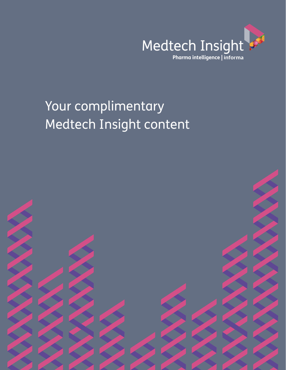

# Your complimentary Medtech Insight content

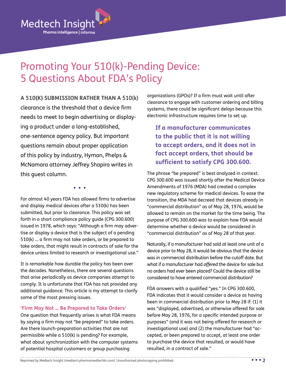

# Promoting Your 510(k)-Pending Device: 5 Questions About FDA's Policy

**A 510(k) submission rather than a** 510(k) clearance is the threshold that a device firm needs to meet to begin advertising or displaying a product under a long-established, one-sentence agency policy. But important questions remain about proper application of this policy by industry, Hyman, Phelps & McNamara attorney Jeffrey Shapiro writes in this guest column.

For almost 40 years FDA has allowed firms to advertise and display medical devices after a 510(k) has been submitted, but prior to clearance. This policy was set forth in a short compliance policy guide (CPG 300.600) issued in 1978, which says: "Although a firm may advertise or display a device that is the subject of a pending 510(k) … a firm may not take orders, or be prepared to take orders, that might result in contracts of sale for the device unless limited to research or investigational use."

 $\bullet\quadbullet\quad\bullet$ 

It is remarkable how durable the policy has been over the decades. Nonetheless, there are several questions that arise periodically as device companies attempt to comply. It is unfortunate that FDA has not provided any additional guidance. This article is my attempt to clarify some of the most pressing issues.

### **'Firm May Not ... Be Prepared to Take Orders'**

One question that frequently arises is what FDA means by saying a firm may not "be prepared" to take orders. Are there launch-preparation activities that are not permissible while a 510(k) is pending? For example, what about synchronization with the computer systems of potential hospital customers or group purchasing

organizations (GPOs)? If a firm must wait until after clearance to engage with customer ordering and billing systems, there could be significant delays because this electronic infrastructure requires time to set up.

**If a manufacturer communicates to the public that it is not willing to accept orders, and it does not in fact accept orders, that should be sufficient to satisfy CPG 300.600.**

The phrase "be prepared" is best analyzed in context. CPG 300.600 was issued shortly after the Medical Device Amendments of 1976 (MDA) had created a complex new regulatory scheme for medical devices. To ease the transition, the MDA had decreed that devices already in "commercial distribution" as of May 28, 1976, would be allowed to remain on the market for the time being. The purpose of CPG 300.600 was to explain how FDA would determine whether a device would be considered in "commercial distribution" as of May 28 of that year.

Naturally, if a manufacturer had sold at least one unit of a device prior to May 28, it would be obvious that the device was in commercial distribution before the cutoff date. But what if a manufacturer had *offered* the device for sale but no orders had ever been placed? Could the device still be considered to have entered commercial distribution?

FDA answers with a qualified "yes." In CPG 300.600, FDA indicates that it would consider a device as having been in commercial distribution prior to May 28 if: (1) it was "displayed, advertised, or otherwise offered for sale before May 28, 1976, for a specific intended purpose or purposes" (and it was not being offered for research or investigational use) *and* (2) the manufacturer had "accepted, or been prepared to accept, at least one order to purchase the device that resulted, or would have resulted, in a contract of sale."

Reprinted by Medtech Insight ([medtech.pharmamedtechbi.com\)](medtech.pharmamedtechbi.com). Unauthorized photocopying prohibited. **• • • 2**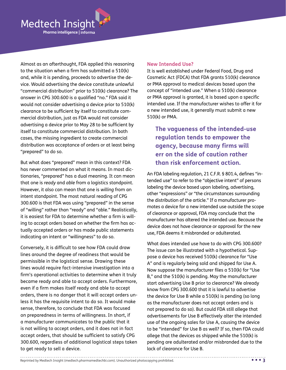

Almost as an afterthought, FDA applied this reasoning to the situation when a firm has submitted a 510(k) and, while it is pending, proceeds to advertise the device. Would advertising the device constitute unlawful "commercial distribution" prior to 510(k) clearance? The answer in CPG 300.600 is a qualified "no." FDA said it would not consider advertising a device prior to 510(k) clearance to be sufficient by itself to constitute commercial distribution, just as FDA would not consider advertising a device prior to May 28 to be sufficient by itself to constitute commercial distribution. In both cases, the missing ingredient to create commercial distribution was acceptance of orders or at least being "prepared" to do so.

But what does "prepared" mean in this context? FDA has never commented on what it means. In most dictionaries, "prepared" has a dual meaning. It can mean that one is *ready* and *able* from a logistics standpoint. However, it also can mean that one is *willing* from an intent standpoint. The most natural reading of CPG 300.600 is that FDA was using "prepared" in the sense of "willing" rather than "ready" and "able." Realistically, it is easiest for FDA to determine whether a firm is willing to accept orders based on whether the firm has actually accepted orders or has made public statements indicating an intent or "willingness" to do so.

Conversely, it is difficult to see how FDA could draw lines around the degree of readiness that would be permissible in the logistical sense. Drawing these lines would require fact-intensive investigation into a firm's operational activities to determine when it truly became ready and able to accept orders. Furthermore, even if a firm makes itself ready and able to accept orders, there is no danger that it will accept orders unless it has the requisite intent to do so. It would make sense, therefore, to conclude that FDA was focused on preparedness in terms of willingness. In short, if a manufacturer communicates to the public that it is not willing to accept orders, and it does not in fact accept orders, that should be sufficient to satisfy CPG 300.600, regardless of additional logistical steps taken to get ready to sell a device.

#### **New Intended Use?**

It is well established under Federal Food, Drug and Cosmetic Act (FDCA) that FDA grants 510(k) clearance or PMA approval to medical devices based upon the concept of "intended use." When a 510(k) clearance or PMA approval is granted, it is based upon a specific intended use. If the manufacturer wishes to offer it for a new intended use, it generally must submit a new 510(k) or PMA.

**The vagueness of the intended-use regulation tends to empower the agency, because many firms will err on the side of caution rather than risk enforcement action.**

An FDA labeling regulation, 21 C.F.R. § 801.4, defines "intended use" to refer to the "objective intent" of persons labeling the device based upon labeling, advertising, other "expressions" or "the circumstances surrounding the distribution of the article." If a manufacturer promotes a device for a new intended use outside the scope of clearance or approval, FDA may conclude that the manufacturer has altered the intended use. Because the device does not have clearance or approval for the new use, FDA deems it misbranded or adulterated.

What does intended use have to do with CPG 300.600? The issue can be illustrated with a hypothetical. Suppose a device has received 510(k) clearance for "Use A" and is regularly being sold and shipped for Use A. Now suppose the manufacturer files a 510(k) for "Use B," and the 510(k) is pending. May the manufacturer start advertising Use B prior to clearance? We already know from CPG 300.600 that it is lawful to advertise the device for Use B while a 510(k) is pending (so long as the manufacturer does not accept orders and is not prepared to do so). But could FDA still allege that advertisements for Use B effectively alter the intended use of the ongoing sales for Use A, causing the device to be "intended" for Use B as well? If so, then FDA could allege that the devices as shipped while the 510(k) is pending are adulterated and/or misbranded due to the lack of clearance for Use B.

Reprinted by Medtech Insight (medtech.pharmamedtechbi.com). Unauthorized photocopying prohibited. **• • • 3**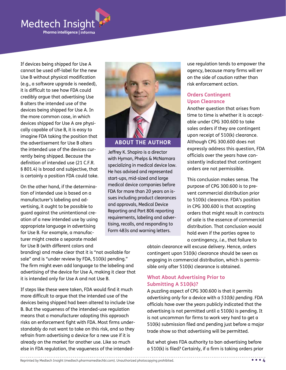

If devices being shipped for Use A cannot be used off-label for the new Use B without physical modification (e.g., a software upgrade is needed), it is difficult to see how FDA could credibly argue that advertising Use B alters the intended use of the devices being shipped for Use A. In the more common case, in which devices shipped for Use A are physically capable of Use B, it is easy to imagine FDA taking the position that the advertisement for Use B alters the intended use of the devices currently being shipped. Because the definition of intended use (21 C.F.R. § 801.4) is broad and subjective, that is certainly a position FDA could take.

On the other hand, if the determination of intended use is based on a manufacturer's labeling and advertising, it ought to be possible to guard against the unintentional creation of a new intended use by using appropriate language in advertising for Use B. For example, a manufacturer might create a separate model for Use B (with different colors and



Jeffrey K. Shapiro is a director with Hyman, Phelps & McNamara specializing in medical device law. He has advised and represented start-ups, mid-sized and large medical device companies before FDA for more than 20 years on issues including product clearances and approvals, Medical Device Reporting and Part 806 reporting requirements, labeling and advertising, recalls, and responding to Form 483s and warning letters.

use regulation tends to empower the agency, because many firms will err on the side of caution rather than risk enforcement action.

## **Orders Contingent Upon Clearance**

Another question that arises from time to time is whether it is acceptable under CPG 300.600 to take sales orders if they are contingent upon receipt of 510(k) clearance. Although CPG 300.600 does not expressly address this question, FDA officials over the years have consistently indicated that contingent orders are not permissible.

This conclusion makes sense. The purpose of CPG 300.600 is to prevent commercial distribution prior to 510(k) clearance. FDA's position in CPG 300.600 is that accepting orders that might result in contracts of sale is the essence of commercial distribution. That conclusion would hold even if the parties agree to a contingency, *i.e.*, that failure to

branding) and make clear that it is "not available for sale" and is "under review by FDA, 510(k) pending." The firm might even add language to the labeling and advertising of the device for Use A, making it clear that it is intended only for Use A and not Use B.

If steps like these were taken, FDA would find it much more difficult to argue that the intended use of the devices being shipped had been altered to include Use B. But the vagueness of the intended-use regulation means that a manufacturer adopting this approach risks an enforcement fight with FDA. Most firms understandably do not want to take on this risk, and so they refrain from advertising a device for a new use if it is already on the market for another use. Like so much else in FDA regulation, the vagueness of the intendedobtain clearance will excuse delivery. Hence, orders contingent upon 510(k) clearance should be seen as engaging in commercial distribution, which is permissible only after 510(k) clearance is obtained.

# **What About Advertising Prior to Submitting A 510(k)?**

A puzzling aspect of CPG 300.600 is that it permits advertising only for a device with a *510(k) pending*. FDA officials have over the years publicly indicated that the advertising is not permitted until a 510(k) is pending. It is not uncommon for firms to work very hard to get a 510(k) submission filed and pending just before a major trade show so that advertising will be permitted.

But what gives FDA authority to ban advertising before a 510(k) is filed? Certainly, if a firm is taking orders prior